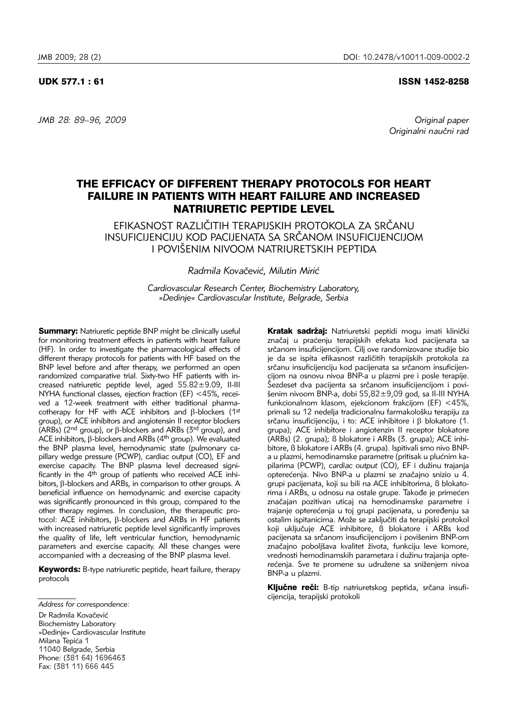### UDK 577.1 : 61 ISSN 1452-8258

*JMB 28: 89–96, 2009 Original paper*

*Originalni nau~ni rad*

# THE EFFICACY OF DIFFERENT THERAPY PROTOCOLS FOR HEART FAILURE IN PATIENTS WITH HEART FAILURE AND INCREASED NATRIURETIC PEPTIDE LEVEL

EFIKASNOST RAZLIČITIH TERAPIJSKIH PROTOKOLA ZA SRČANU. INSUFICIJENCIJU KOD PACIJENATA SA SRČANOM INSUFICIJENCIJOM I POVIŠENIM NIVOOM NATRIURETSKIH PEPTIDA

*Radmila Kova~evi}, Milutin Miri}*

*Cardiovascular Research Center, Biochemistry Laboratory, »Dedinje« Cardiovascular Institute, Belgrade, Serbia*

**Summary:** Natriuretic peptide BNP might be clinically useful for monitoring treatment effects in patients with heart failure (HF). In order to investigate the pharmacological effects of different therapy protocols for patients with HF based on the BNP level before and after therapy, we performed an open randomized comparative trial. Sixty-two HF patients with increased natriuretic peptide level, aged 55.82±9.09, II-III NYHA functional classes, ejection fraction (EF) <45%, recei ved a 12-week treatment with either traditional pharmacotherapy for HF with ACE inhibitors and  $\beta$ -blockers (1st group), or ACE inhibitors and angiotensin II receptor blockers (ARBs) (2<sup>nd</sup> group), or  $\beta$ -blockers and ARBs (3<sup>rd</sup> group), and  $ACE$  inhibitors,  $\beta$ -blockers and ARBs (4<sup>th</sup> group). We evaluated the BNP plasma level, hemodynamic state (pulmonary capillary wedge pressure (PCWP), cardiac output (CO), EF and exercise capacity. The BNP plasma level decreased significantly in the 4<sup>th</sup> group of patients who received ACE inhibitors,  $\beta$ -blockers and ARBs, in comparison to other groups. A beneficial influence on hemodynamic and exercise capacity was significantly pronounced in this group, compared to the other therapy regimes. In conclusion, the therapeutic protocol: ACE inhibitors, b-blockers and ARBs in HF patients with increased natriuretic peptide level significantly improves the quality of life, left ventricular function, hemodynamic parameters and exercise capacity. All these changes were accompanied with a decreasing of the BNP plasma level.

Keywords: B-type natriuretic peptide, heart failure, therapy protocols

Dr Radmila Kovačević Biochemistry Laboratory »Dedinje« Cardiovascular Institute Milana Tepića 1 11040 Belgrade, Serbia Phone: (381 64) 1696463 Fax: (381 11) 666 445

Kratak sadržaj: Natriuretski peptidi mogu imati klinički značaj u praćenju terapijskih efekata kod pacijenata sa srčanom insuficijencijom. Cilj ove randomizovane studije bio je da se ispita efikasnost različitih terapijskih protokola za srčanu insuficijenciju kod pacijenata sa srčanom insuficijencijom na osnovu nivoa BNP-a u plazmi pre i posle terapije. Šezdeset dva pacijenta sa srčanom insuficijencijom i povi-{enim nivoom BNP-a, dobi 55,82±9,09 god, sa II-III NYHA funkcionalnom klasom, ejekcionom frakcijom (EF) <45%, primali su 12 nedelja tradicionalnu farmakološku terapiju za srčanu insuficijenciju, i to: ACE inhibitore i ß blokatore (1. grupa); ACE inhibitore i angiotenzin II receptor blokatore (ARBs) (2. grupa); ß blokatore i ARBs (3. grupa); ACE inhi bitore, ß blokatore i ARBs (4. grupa). Ispitivali smo nivo BNPa u plazmi, hemodinamske parametre (pritisak u plućnim kapilarima (PCWP), *cardiac output* (CO), EF i dužinu trajanja opterećenja. Nivo BNP-a u plazmi se značajno snizio u 4. grupi pacijenata, koji su bili na ACE inhibitorima, ß blokatorima i ARBs, u odnosu na ostale grupe. Takođe je primećen značajan pozitivan uticaj na hemodinamske parametre i trajanje opterećenja u toj grupi pacijenata, u poređenju sa ostalim ispitanicima. Može se zaključiti da terapijski protokol koji uključuje ACE inhibitore, ß blokatore i ARBs kod pacijenata sa srčanom insuficijencijom i povišenim BNP-om značajno pobolišava kvalitet života, funkciju leve komore, vrednosti hemodinamskih parametara i dužinu trajanja opterećenja. Sve te promene su udružene sa sniženjem nivoa BNP-a u plazmi.

Ključne reči: B-tip natriuretskog peptida, srčana insuficijencija, terapijski protokoli

*Address for correspondence:*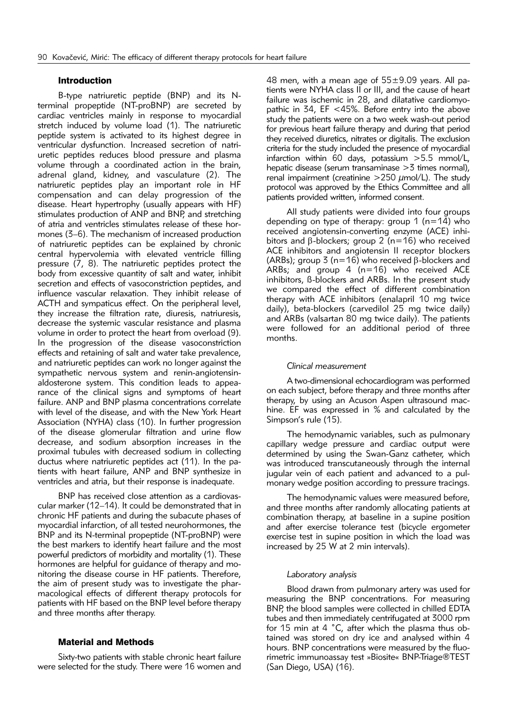# Introduction

B-type natriuretic peptide (BNP) and its Nterminal propeptide (NT-proBNP) are secreted by cardiac ventricles mainly in response to myocardial stretch induced by volume load (1). The natriuretic peptide system is activated to its highest degree in ventricular dysfunction. Increased secretion of natriuretic peptides reduces blood pressure and plasma volume through a coordinated action in the brain, adrenal gland, kidney, and vasculature (2). The natriuretic peptides play an important role in HF compensation and can delay progression of the disease. Heart hypertrophy (usually appears with HF) stimulates production of ANP and BNP, and stretching of atria and ventricles stimulates release of these hor mones (3–6). The mechanism of increased production of natriuretic peptides can be explained by chronic central hypervolemia with elevated ventricle filling pressure (7, 8). The natriuretic peptides protect the body from excessive quantity of salt and water, inhibit secretion and effects of vasoconstriction peptides, and influence vascular relaxation. They inhibit release of ACTH and sympaticus effect. On the peripheral level, they increase the filtration rate, diuresis, natriuresis, decrease the systemic vascular resistance and plasma volume in order to protect the heart from overload (9). In the progression of the disease vasoconstriction effects and retaining of salt and water take prevalence, and natriuretic peptides can work no longer against the sympathetic nervous system and renin-angiotensinaldosterone system. This condition leads to appearance of the clinical signs and symptoms of heart failure. ANP and BNP plasma concentrations correlate with level of the disease, and with the New York Heart Association (NYHA) class (10). In further progression of the disease glomerular filtration and urine flow decrease, and sodium absorption increases in the proximal tubules with decreased sodium in collecting ductus where natriuretic peptides act (11). In the patients with heart failure, ANP and BNP synthesize in ventricles and atria, but their response is inadequate.

BNP has received close attention as a cardiovascular marker (12–14). It could be demonstrated that in chronic HF patients and during the subacute phases of myocardial infarction, of all tested neurohormones, the BNP and its N-terminal propeptide (NT-proBNP) were the best markers to identify heart failure and the most powerful predictors of morbidity and mortality (1). These hormones are helpful for guidance of therapy and monitoring the disease course in HF patients. Therefore, the aim of present study was to investigate the pharmacological effects of different therapy protocols for patients with HF based on the BNP level before therapy and three months after therapy.

# Material and Methods

Sixty-two patients with stable chronic heart failure were selected for the study. There were 16 women and 48 men, with a mean age of  $55\pm9.09$  years. All patients were NYHA class II or III, and the cause of heart failure was ischemic in 28, and dilatative cardiomyopathic in 34, EF <45%. Before entry into the above study the patients were on a two week wash-out period for previous heart failure therapy and during that period they received diuretics, nitrates or digitalis. The exclusion criteria for the study included the presence of myocardial infarction within 60 days, potassium  $>5.5$  mmol/L, hepatic disease (serum transaminase  $>$  3 times normal), renal impairment (creatinine  $>$  250  $\mu$ mol/L). The study protocol was approved by the Ethics Committee and all patients provided written, informed consent.

All study patients were divided into four groups depending on type of therapy: group 1 ( $n=14$ ) who received angiotensin-converting enzyme (ACE) inhibitors and  $\beta$ -blockers; group 2 (n=16) who received ACE inhibitors and angiotensin II receptor blockers (ARBs); group 3 ( $n=16$ ) who received  $\beta$ -blockers and ARBs; and group 4 (n=16) who received ACE  $inhibitors, B-blockers, and ARBs.$  In the present study we compared the effect of different combination therapy with ACE inhibitors (enalapril 10 mg twice daily), beta-blockers (carvedilol 25 mg twice daily) and ARBs (valsartan 80 mg twice daily). The patients were followed for an additional period of three months.

#### *Clinical measurement*

A two-dimensional echocardiogram was performed on each subject, before therapy and three months after therapy, by using an Acuson Aspen ultrasound machine. EF was expressed in % and calculated by the Simpson's rule (15).

The hemodynamic variables, such as pulmonary capillary wedge pressure and cardiac output were determined by using the Swan-Ganz catheter, which was introduced transcutaneously through the internal jugular vein of each patient and advanced to a pulmonary wedge position according to pressure tracings.

The hemodynamic values were measured before, and three months after randomly allocating patients at combination therapy, at baseline in a supine position and after exercise tolerance test (bicycle ergometer exercise test in supine position in which the load was increased by 25 W at 2 min intervals).

### *Laboratory analysis*

Blood drawn from pulmonary artery was used for measuring the BNP concentrations. For measuring BNP, the blood samples were collected in chilled EDTA tubes and then immediately centrifugated at 3000 rpm for 15 min at 4  $^{\circ}$ C, after which the plasma thus obtained was stored on dry ice and analysed within 4 hours. BNP concentrations were measured by the fluorimetric immunoassay test »Biosite« BNP-Triage®TEST (San Diego, USA) (16).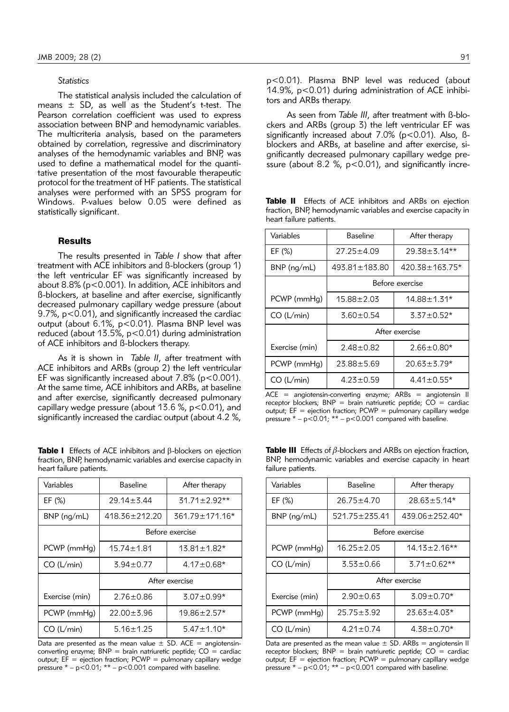#### *Statistics*

The statistical analysis included the calculation of means  $\pm$  SD, as well as the Student's t-test. The Pearson correlation coefficient was used to express association between BNP and hemodynamic variables. The multicriteria analysis, based on the parameters obtained by correlation, regressive and discriminatory analyses of the hemodynamic variables and BNP, was used to define a mathematical model for the quantitative presentation of the most favourable therapeutic protocol for the treatment of HF patients. The statistical analyses were performed with an SPSS program for Windows. P-values below 0.05 were defined as statistically significant.

### **Results**

The results presented in *Table I* show that after treatment with ACE inhibitors and ß-blockers (group 1) the left ventricular EF was significantly increased by about 8.8% (p<0.001). In addition, ACE inhibitors and ß-blockers, at baseline and after exercise, significantly decreased pulmonary capillary wedge pressure (about 9.7%, p<0.01), and significantly increased the cardiac output (about 6.1%, p<0.01). Plasma BNP level was reduced (about 13.5%, p<0.01) during administration of ACE inhibitors and ß-blockers therapy.

As it is shown in *Table II*, after treatment with ACE inhibitors and ARBs (group 2) the left ventricular EF was significantly increased about  $7.8\%$  (p<0.001). At the same time, ACE inhibitors and ARBs, at baseline and after exercise, significantly decreased pulmonary capillary wedge pressure (about 13.6 %, p<0.01), and significantly increased the cardiac output (about 4.2 %,

**Table I** Effects of ACE inhibitors and B-blockers on ejection fraction, BNP, hemodynamic variables and exercise capacity in heart failure patients.

| Variables      | Baseline            | After therapy        |  |
|----------------|---------------------|----------------------|--|
| EF $(\%)$      | $29.14 \pm 3.44$    | $31.71 \pm 2.92**$   |  |
| $BNP$ (ng/mL)  | $418.36 \pm 212.20$ | $361.79 \pm 171.16*$ |  |
|                | Before exercise     |                      |  |
| PCWP (mmHg)    | $15.74 \pm 1.81$    | $13.81 \pm 1.82*$    |  |
| CO (L/min)     | $3.94 \pm 0.77$     | $4.17 \pm 0.68*$     |  |
|                | After exercise      |                      |  |
|                |                     |                      |  |
| Exercise (min) | $2.76 \pm 0.86$     | $3.07 \pm 0.99*$     |  |
| PCWP (mmHg)    | $22.00 \pm 3.96$    | $19.86 \pm 2.57*$    |  |

Data are presented as the mean value  $\pm$  SD. ACE = angiotensinconverting enzyme;  $BNP = brain$  natriuretic peptide;  $CO = cardiac$ output;  $E\overline{F}$  = ejection fraction; PCWP = pulmonary capillary wedge pressure  $* - p < 0.01$ ;  $** - p < 0.001$  compared with baseline.

p<0.01). Plasma BNP level was reduced (about 14.9%,  $p < 0.01$ ) during administration of ACE inhibitors and ARBs therapy.

As seen from Table III, after treatment with **ß-blo**ckers and ARBs (group 3) the left ventricular EF was significantly increased about  $7.0\%$  ( $p < 0.01$ ). Also, ßblockers and ARBs, at baseline and after exercise, significantly decreased pulmonary capillary wedge pressure (about 8.2 %,  $p<0.01$ ), and significantly incre-

Table II Effects of ACE inhibitors and ARBs on ejection fraction, BNP, hemodynamic variables and exercise capacity in heart failure patients.

| Variables      | <b>Baseline</b>     | After therapy        |  |
|----------------|---------------------|----------------------|--|
| EF $(\%)$      | $27.25 \pm 4.09$    | $29.38 \pm 5.14**$   |  |
| $BNP$ (ng/mL)  | $493.81 \pm 183.80$ | $420.38 \pm 163.75*$ |  |
|                |                     | Before exercise      |  |
| PCWP (mmHg)    | $15.88 \pm 2.03$    | $14.88 \pm 1.31*$    |  |
| CO (L/min)     | $3.60 \pm 0.54$     | $3.37 \pm 0.52*$     |  |
|                | After exercise      |                      |  |
| Exercise (min) | $2.48 \pm 0.82$     | $2.66 \pm 0.80*$     |  |
| PCWP (mmHg)    | $23.88 \pm 5.69$    | $20.63 \pm 3.79*$    |  |
| CO (L/min)     | $4.23 \pm 0.59$     | $4.41 \pm 0.55*$     |  |

 $ACE = angiotensin-converting enzyme; ARBs = angiotensin II$ receptor blockers;  $BNP = brain$  natriuretic peptide;  $CO = cardiac$ output:  $EF =$  ejection fraction:  $PCWP =$  pulmonary capillary wedge pressure  $* - p < 0.01$ ;  $** - p < 0.001$  compared with baseline.

**Table III** Effects of  $\beta$ -blockers and ARBs on ejection fraction, BNP, hemodynamic variables and exercise capacity in heart failure patients.

| Variables      | Baseline            | After therapy        |  |
|----------------|---------------------|----------------------|--|
| EF $(\%)$      | $26.75 \pm 4.70$    | $28.63 \pm 5.14*$    |  |
| BNP (ng/mL)    | $521.75 \pm 235.41$ | $439.06 \pm 252.40*$ |  |
|                | Before exercise     |                      |  |
| PCWP (mmHg)    | $16.25 \pm 2.05$    | $14.13 \pm 2.16**$   |  |
| CO (L/min)     | 3.53±0.66           | $3.71 \pm 0.62**$    |  |
|                | After exercise      |                      |  |
| Exercise (min) | $2.90 \pm 0.63$     | $3.09 \pm 0.70*$     |  |
| PCWP (mmHg)    | $25.75 \pm 3.92$    | $23.63 \pm 4.03*$    |  |
| CO (L/min)     | $4.21 \pm 0.74$     | $4.38 \pm 0.70*$     |  |

Data are presented as the mean value  $\pm$  SD. ARBs = angiotensin II receptor blockers;  $BNP = brain$  natriuretic peptide;  $CO =$  cardiac output;  $EF =$  ejection fraction;  $PCWP =$  pulmonary capillary wedge pressure  $* - p < 0.01$ ;  $** - p < 0.001$  compared with baseline.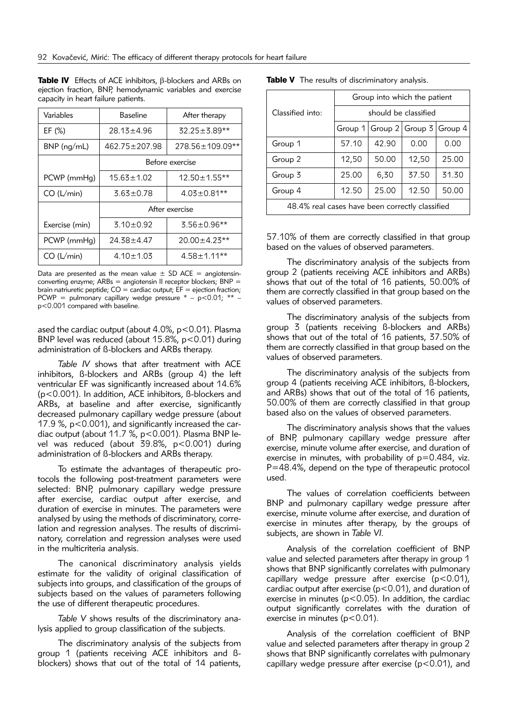Table IV Effects of ACE inhibitors, B-blockers and ARBs on ejection fraction, BNP, hemodynamic variables and exercise capacity in heart failure patients.

| Variables      | Baseline            | After therapy       |  |
|----------------|---------------------|---------------------|--|
| EF $(\%)$      | $28.13 \pm 4.96$    | $32.25 \pm 3.89**$  |  |
| $BNP$ (ng/mL)  | $462.75 \pm 207.98$ | 278.56±109.09**     |  |
|                | Before exercise     |                     |  |
| PCWP (mmHg)    | $15.63 \pm 1.02$    | $12.50 \pm 1.55$ ** |  |
| CO (L/min)     | $3.63 \pm 0.78$     | $4.03 \pm 0.81**$   |  |
|                | After exercise      |                     |  |
| Exercise (min) | $3.10 \pm 0.92$     | $3.56 \pm 0.96**$   |  |
| PCWP (mmHg)    | 24.38±4.47          | 20.00±4.23**        |  |
| CO (L/min)     | $4.10 \pm 1.03$     | $4.58 \pm 1.11$ **  |  |

Data are presented as the mean value  $\pm$  SD ACE = angiotensinconverting enzyme;  $ARBs =$  angiotensin II receptor blockers;  $BNP =$ brain natriuretic peptide:  $CO =$  cardiac output:  $EF =$  ejection fraction: PCWP = pulmonary capillary wedge pressure  $* - p < 0.01$ ;  $** - p$ p<0.001 compared with baseline.

ased the cardiac output (about  $4.0\%$ ,  $p < 0.01$ ). Plasma BNP level was reduced (about  $15.8\%$ ,  $p < 0.01$ ) during administration of ß-blockers and ARBs therapy.

*Table IV* shows that after treatment with ACE inhibitors, ß-blockers and ARBs (group 4) the left ventricular EF was significantly increased about 14.6% (p<0.001). In addition, ACE inhibitors, ß-blockers and ARBs, at baseline and after exercise, significantly decreased pulmonary capillary wedge pressure (about 17.9 %, p<0.001), and significantly increased the cardiac output (about 11.7 %,  $p < 0.001$ ). Plasma BNP level was reduced (about 39.8%, p<0.001) during administration of ß-blockers and ARBs therapy.

To estimate the advantages of therapeutic protocols the following post-treatment parameters were selected: BNP, pulmonary capillary wedge pressure after exercise, cardiac output after exercise, and duration of exercise in minutes. The parameters were analysed by using the methods of discriminatory, correlation and regression analyses. The results of discriminatory, correlation and regression analyses were used in the multicriteria analysis.

The canonical discriminatory analysis yields estimate for the validity of original classification of subjects into groups, and classification of the groups of subjects based on the values of parameters following the use of different therapeutic procedures.

Table V shows results of the discriminatory analysis applied to group classification of the subjects.

The discriminatory analysis of the subjects from group 1 (patients receiving ACE inhibitors and ßblockers) shows that out of the total of 14 patients,

| Table V The results of discriminatory analysis. |
|-------------------------------------------------|
|-------------------------------------------------|

|                                                 | Group into which the patient |                                       |       |       |  |
|-------------------------------------------------|------------------------------|---------------------------------------|-------|-------|--|
| Classified into:                                | should be classified         |                                       |       |       |  |
|                                                 |                              | Group $1$ Group $2$ Group $3$ Group 4 |       |       |  |
| Group 1                                         | 57.10                        | 42.90                                 | 0.00  | 0.00  |  |
| Group 2                                         | 12,50                        | 50.00                                 | 12,50 | 25.00 |  |
| Group 3                                         | 25.00                        | 6,30                                  | 37.50 | 31.30 |  |
| Group 4                                         | 12.50                        | 25.00                                 | 12.50 | 50.00 |  |
| 48.4% real cases have been correctly classified |                              |                                       |       |       |  |

57.10% of them are correctly classified in that group based on the values of observed parameters.

The discriminatory analysis of the subjects from group 2 (patients receiving ACE inhibitors and ARBs) shows that out of the total of 16 patients, 50.00% of them are correctly classified in that group based on the values of observed parameters.

The discriminatory analysis of the subjects from group 3 (patients receiving ß-blockers and ARBs) shows that out of the total of 16 patients, 37.50% of them are correctly classified in that group based on the values of observed parameters.

The discriminatory analysis of the subjects from group 4 (patients receiving ACE inhibitors, ß-blockers, and ARBs) shows that out of the total of 16 patients, 50.00% of them are correctly classified in that group based also on the values of observed parameters.

The discriminatory analysis shows that the values of BNP, pulmonary capillary wedge pressure after exercise, minute volume after exercise, and duration of exercise in minutes, with probability of  $p=0.484$ , viz. P=48.4%, depend on the type of therapeutic protocol used.

The values of correlation coefficients between BNP and pulmonary capillary wedge pressure after exercise, minute volume after exercise, and duration of exercise in minutes after therapy, by the groups of subjects, are shown in *Table VI.* 

Analysis of the correlation coefficient of BNP value and selected parameters after therapy in group 1 shows that BNP significantly correlates with pulmonary capillary wedge pressure after exercise (p<0.01), cardiac output after exercise (p<0.01), and duration of exercise in minutes ( $p$ <0.05). In addition, the cardiac output significantly correlates with the duration of exercise in minutes (p<0.01).

Analysis of the correlation coefficient of BNP value and selected parameters after therapy in group 2 shows that BNP significantly correlates with pulmonary capillary wedge pressure after exercise ( $p < 0.01$ ), and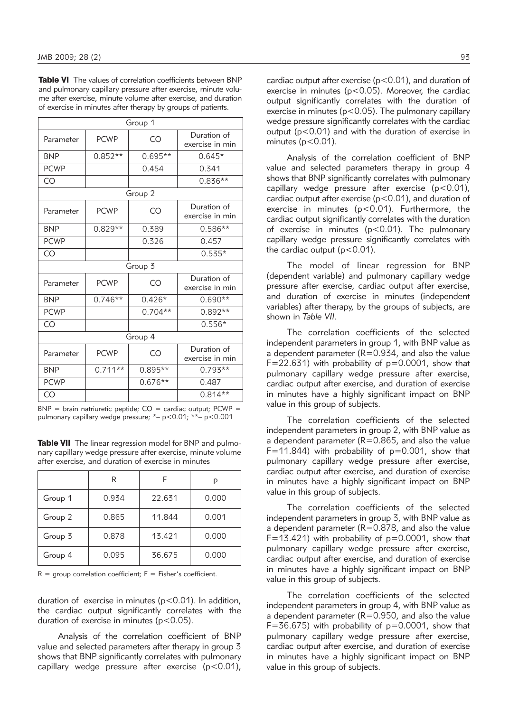| Group 1     |             |           |                                |  |
|-------------|-------------|-----------|--------------------------------|--|
| Parameter   | <b>PCWP</b> | CO        | Duration of<br>exercise in min |  |
| <b>BNP</b>  | $0.852**$   | $0.695**$ | $0.645*$                       |  |
| <b>PCWP</b> |             | 0.454     | 0.341                          |  |
| CO          |             |           | $0.836**$                      |  |
|             |             | Group 2   |                                |  |
| Parameter   | <b>PCWP</b> | CO        | Duration of<br>exercise in min |  |
| <b>BNP</b>  | $0.829**$   | 0.389     | $0.586**$                      |  |
| <b>PCWP</b> |             | 0.326     | 0.457                          |  |
| CO          |             |           | $0.535*$                       |  |
|             |             | Group 3   |                                |  |
| Parameter   | <b>PCWP</b> | CO        | Duration of<br>exercise in min |  |
| <b>BNP</b>  | $0.746**$   | $0.426*$  | $0.690**$                      |  |
| <b>PCWP</b> |             | $0.704**$ | $0.892**$                      |  |
| CO          |             |           | $0.556*$                       |  |
|             |             | Group 4   |                                |  |
| Parameter   | <b>PCWP</b> | CO        | Duration of<br>exercise in min |  |
| <b>BNP</b>  | $0.711**$   | $0.895**$ | $0.793**$                      |  |
| <b>PCWP</b> |             | $0.676**$ | 0.487                          |  |
| CO          |             |           | $0.814**$                      |  |

Table VI The values of correlation coefficients between BNP and pulmonary capillary pressure after exercise, minute volume after exercise, minute volume after exercise, and duration of exercise in minutes after therapy by groups of patients.

 $BNP = brain$  natriuretic peptide;  $CO =$  cardiac output;  $PCWP =$ pulmonary capillary wedge pressure; \*– p<0.01; \*\*– p<0.001

| <b>Table VII</b> The linear regression model for BNP and pulmo- |
|-----------------------------------------------------------------|
| nary capillary wedge pressure after exercise, minute volume     |
| after exercise, and duration of exercise in minutes             |

|         | R     |        |       |
|---------|-------|--------|-------|
| Group 1 | 0.934 | 22.631 | 0.000 |
| Group 2 | 0.865 | 11.844 | 0.001 |
| Group 3 | 0.878 | 13.421 | 0.000 |
| Group 4 | 0.095 | 36.675 | 0.000 |

 $R =$  group correlation coefficient;  $F =$  Fisher's coefficient.

duration of exercise in minutes (p<0.01). In addition, the cardiac output significantly correlates with the duration of exercise in minutes ( $p$ <0.05).

Analysis of the correlation coefficient of BNP value and selected parameters after therapy in group 3 shows that BNP significantly correlates with pulmonary capillary wedge pressure after exercise  $(p<0.01)$ , cardiac output after exercise (p<0.01), and duration of exercise in minutes (p<0.05). Moreover, the cardiac output significantly correlates with the duration of exercise in minutes ( $p < 0.05$ ). The pulmonary capillary wedge pressure significantly correlates with the cardiac output  $(p<0.01)$  and with the duration of exercise in minutes  $(p<0.01)$ .

Analysis of the correlation coefficient of BNP value and selected parameters therapy in group 4 shows that BNP significantly correlates with pulmonary capillary wedge pressure after exercise (p<0.01), cardiac output after exercise (p<0.01), and duration of exercise in minutes (p<0.01). Furthermore, the cardiac output significantly correlates with the duration of exercise in minutes  $(p<0.01)$ . The pulmonary capillary wedge pressure significantly correlates with the cardiac output  $(p<0.01)$ .

The model of linear regression for BNP (dependent variable) and pulmonary capillary wedge pressure after exercise, cardiac output after exercise, and duration of exercise in minutes (independent variables) after therapy, by the groups of subjects, are shown in *Table VII*.

The correlation coefficients of the selected independent parameters in group 1, with BNP value as a dependent parameter ( $R=0.934$ , and also the value  $F=22.631$ ) with probability of  $p=0.0001$ , show that pulmonary capillary wedge pressure after exercise, cardiac output after exercise, and duration of exercise in minutes have a highly significant impact on BNP value in this group of subjects.

The correlation coefficients of the selected independent parameters in group 2, with BNP value as a dependent parameter ( $R=0.865$ , and also the value  $F=11.844$ ) with probability of  $p=0.001$ , show that pulmonary capillary wedge pressure after exercise, cardiac output after exercise, and duration of exercise in minutes have a highly significant impact on BNP value in this group of subjects.

The correlation coefficients of the selected independent parameters in group 3, with BNP value as a dependent parameter ( $R=0.878$ , and also the value  $F=13.421$ ) with probability of  $p=0.0001$ , show that pulmonary capillary wedge pressure after exercise, cardiac output after exercise, and duration of exercise in minutes have a highly significant impact on BNP value in this group of subjects.

The correlation coefficients of the selected independent parameters in group 4, with BNP value as a dependent parameter ( $R=0.950$ , and also the value  $F=36.675$ ) with probability of  $p=0.0001$ , show that pulmonary capillary wedge pressure after exercise, cardiac output after exercise, and duration of exercise in minutes have a highly significant impact on BNP value in this group of subjects.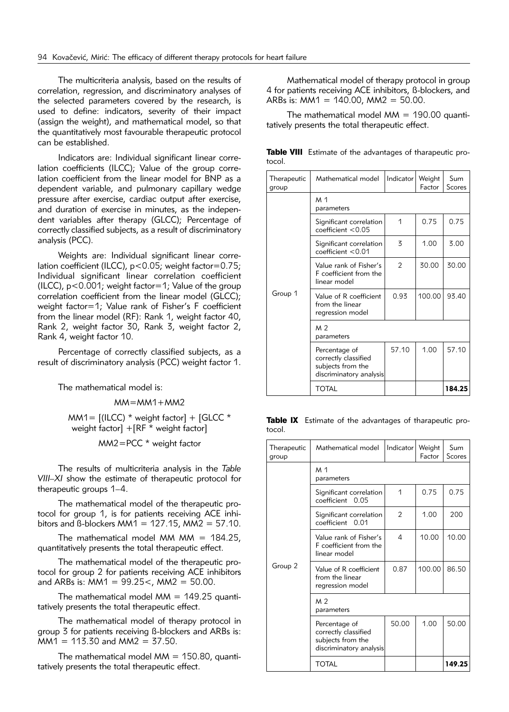The multicriteria analysis, based on the results of correlation, regression, and discriminatory analyses of the selected parameters covered by the research, is used to define: indicators, severity of their impact (assign the weight), and mathematical model, so that the quantitatively most favourable therapeutic protocol can be established.

Indicators are: Individual significant linear correlation coefficients (ILCC); Value of the group correlation coefficient from the linear model for BNP as a dependent variable, and pulmonary capillary wedge pressure after exercise, cardiac output after exercise, and duration of exercise in minutes, as the independent variables after therapy (GLCC); Percentage of correctly classified subjects, as a result of discriminatory analysis (PCC).

Weights are: Individual significant linear correlation coefficient (ILCC), p<0.05; weight factor=0.75; Individual significant linear correlation coefficient (ILCC), p<0.001; weight factor=1; Value of the group correlation coefficient from the linear model (GLCC); weight factor=1; Value rank of Fisher's F coefficient from the linear model (RF): Rank 1, weight factor 40, Rank 2, weight factor 30, Rank 3, weight factor 2, Rank 4, weight factor 10.

Percentage of correctly classified subjects, as a result of discriminatory analysis (PCC) weight factor 1.

The mathematical model is:

 $MM=MM1+MM2$ 

$$
MM1 = [(ILCC) * weight factor] + [GLCC * weight factor] + [RF * weight factor]
$$

MM2=PCC \* weight factor

The results of multicriteria analysis in the *Table VIII–XI* show the estimate of therapeutic protocol for therapeutic groups 1–4.

The mathematical model of the therapeutic protocol for group 1, is for patients receiving ACE inhibitors and  $\beta$ -blockers MM1 = 127.15, MM2 = 57.10.

The mathematical model MM  $MM = 184.25$ , quan titatively presents the total therapeutic effect.

The mathematical model of the therapeutic protocol for group 2 for patients receiving ACE inhibitors and ARBs is:  $MM1 = 99.25 < M.M2 = 50.00$ .

The mathematical model  $MM = 149.25$  quantitatively presents the total therapeutic effect.

The mathematical model of therapy protocol in group 3 for patients receiving ß-blockers and ARBs is:  $MM1 = 113.30$  and  $MM2 = 37.50$ .

The mathematical model  $MM = 150.80$ , quantitatively presents the total therapeutic effect.

Mathematical model of therapy protocol in group 4 for patients receiving ACE inhibitors, ß-blockers, and ARBs is:  $MM1 = 140.00$ ,  $MM2 = 50.00$ .

The mathematical model  $MM = 190.00$  quantitatively presents the total therapeutic effect.

Table VIII Estimate of the advantages of tharapeutic protocol.

| Therapeutic<br>group | Mathematical model                                                                    | Indicator      | Weight<br>Factor | Sum<br>Scores |
|----------------------|---------------------------------------------------------------------------------------|----------------|------------------|---------------|
|                      | M 1<br>parameters                                                                     |                |                  |               |
|                      | Significant correlation<br>coefficient < 0.05                                         | 1              | 0.75             | 0.75          |
|                      | Significant correlation<br>coefficient < 0.01                                         | 3              | 1.00             | 3.00          |
| Group 1              | Value rank of Fisher's<br>F coefficient from the<br>linear model                      | $\mathfrak{D}$ | 30.00            | 30.00         |
|                      | Value of R coefficient<br>from the linear<br>regression model                         | 0.93           | 100.00           | 93.40         |
|                      | M2<br>parameters                                                                      |                |                  |               |
|                      | Percentage of<br>correctly classified<br>subjects from the<br>discriminatory analysis | 57.10          | 1.00             | 57.10         |
|                      | <b>TOTAL</b>                                                                          |                |                  | 184.25        |

Table IX Estimate of the advantages of tharapeutic protocol.

| Therapeutic<br>group | Mathematical model                                                                    | Indicator     | Weight<br>Factor | Sum<br>Scores |
|----------------------|---------------------------------------------------------------------------------------|---------------|------------------|---------------|
|                      | M 1<br>parameters                                                                     |               |                  |               |
|                      | Significant correlation<br>coefficient<br>0.05                                        | 1             | 0.75             | 0.75          |
|                      | Significant correlation<br>coefficient<br>0.01                                        | $\mathcal{P}$ | 1.00             | 200           |
| Group 2              | Value rank of Fisher's<br>F coefficient from the<br>linear model                      | 4             | 10.00            | 10.00         |
|                      | Value of R coefficient<br>from the linear<br>regression model                         | 0.87          | 100.00           | 86.50         |
|                      | M <sub>2</sub><br>parameters                                                          |               |                  |               |
|                      | Percentage of<br>correctly classified<br>subjects from the<br>discriminatory analysis | 50.00         | 1.00             | 50.00         |
|                      | <b>TOTAL</b>                                                                          |               |                  | 149.25        |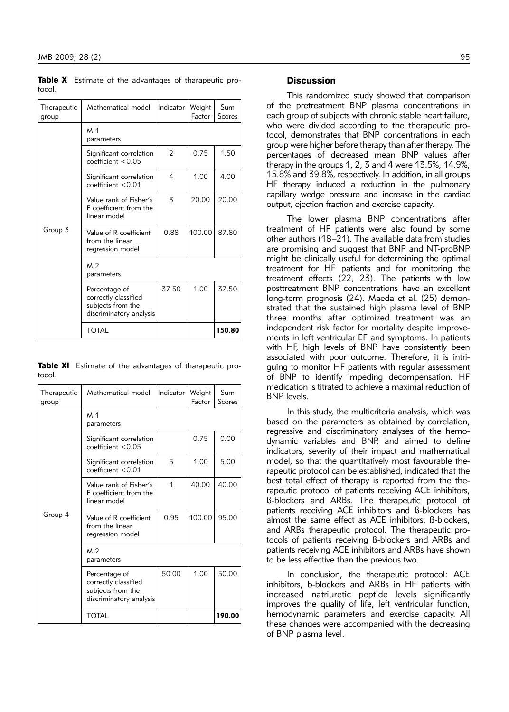| Therapeutic<br>group | Mathematical model                                                                    | Indicator      | Weight<br>Factor | Sum<br>Scores |
|----------------------|---------------------------------------------------------------------------------------|----------------|------------------|---------------|
|                      | M 1<br>parameters                                                                     |                |                  |               |
|                      | Significant correlation<br>coefficient < 0.05                                         | $\mathfrak{D}$ | 0.75             | 1.50          |
|                      | Significant correlation<br>coefficient < 0.01                                         | 4              | 1.00             | 4.00          |
| Group 3              | Value rank of Fisher's<br>F coefficient from the<br>linear model                      | 3              | 20.00            | 20.00         |
|                      | Value of R coefficient<br>from the linear<br>regression model                         | 0.88           | 100.00           | 87.80         |
|                      | M <sub>2</sub><br>parameters                                                          |                |                  |               |
|                      | Percentage of<br>correctly classified<br>subjects from the<br>discriminatory analysis | 37.50          | 1.00             | 37.50         |
|                      | <b>TOTAL</b>                                                                          |                |                  | 150.80        |

Table X Estimate of the advantages of tharapeutic protocol.

|        |  | Table XI Estimate of the advantages of tharapeutic pro- |  |  |
|--------|--|---------------------------------------------------------|--|--|
| tocol. |  |                                                         |  |  |

| Therapeutic<br>group | Mathematical model                                                                    | Indicator | Weight<br>Factor | Sum<br>Scores |  |  |  |  |
|----------------------|---------------------------------------------------------------------------------------|-----------|------------------|---------------|--|--|--|--|
|                      | M 1<br>parameters                                                                     |           |                  |               |  |  |  |  |
|                      | Significant correlation<br>coefficient < 0.05                                         |           | 0.75             | 0.00          |  |  |  |  |
|                      | Significant correlation<br>coefficient < 0.01                                         | 5         | 1.00             | 5.00          |  |  |  |  |
|                      | Value rank of Fisher's<br>F coefficient from the<br>linear model                      | 1         | 40.00            | 40.00         |  |  |  |  |
| Group 4              | Value of R coefficient<br>from the linear<br>regression model                         | 0.95      | 100.00           | 95.00         |  |  |  |  |
|                      | M <sub>2</sub><br>parameters                                                          |           |                  |               |  |  |  |  |
|                      | Percentage of<br>correctly classified<br>subjects from the<br>discriminatory analysis | 50.00     | 1.00             | 50.00         |  |  |  |  |
|                      | <b>TOTAL</b>                                                                          |           |                  | 190.00        |  |  |  |  |

# **Discussion**

This randomized study showed that comparison of the pretreatment BNP plasma concentrations in each group of subjects with chronic stable heart failure, who were divided according to the therapeutic protocol, demonstrates that BNP concentrations in each group were higher before therapy than after therapy. The percentages of decreased mean BNP values after therapy in the groups 1, 2, 3 and 4 were 13.5%, 14.9%, 15.8% and 39.8%, respectively. In addition, in all groups HF therapy induced a reduction in the pulmonary capillary wedge pressure and increase in the cardiac output, ejection fraction and exercise capacity.

The lower plasma BNP concentrations after treatment of HF patients were also found by some other authors (18–21). The available data from studies are promising and suggest that BNP and NT-proBNP might be clinically useful for determining the optimal treatment for HF patients and for monitoring the treatment effects (22, 23). The patients with low posttreatment BNP concentrations have an excellent long-term prognosis (24). Maeda et al. (25) demonstrated that the sustained high plasma level of BNP three months after optimized treatment was an independent risk factor for mortality despite improvements in left ventricular EF and symptoms. In patients with HF, high levels of BNP have consistently been associated with poor outcome. Therefore, it is intriguing to monitor HF patients with regular assessment of BNP to identify impeding decompensation. HF medication is titrated to achieve a maximal reduction of BNP levels.

In this study, the multicriteria analysis, which was based on the parameters as obtained by correlation, regressive and discriminatory analyses of the hemodynamic variables and BNP, and aimed to define indicators, severity of their impact and mathematical model, so that the quantitatively most favourable therapeutic protocol can be established, indicated that the best total effect of therapy is reported from the therapeutic protocol of patients receiving ACE inhibitors, ß-blockers and ARBs. The therapeutic protocol of patients receiving ACE inhibitors and ß-blockers has almost the same effect as ACE inhibitors, ß-blockers, and ARBs therapeutic protocol. The therapeutic protocols of patients receiving ß-blockers and ARBs and patients receiving ACE inhibitors and ARBs have shown to be less effective than the previous two.

In conclusion, the therapeutic protocol: ACE inhibitors, b-blockers and ARBs in HF patients with increased natriuretic peptide levels significantly improves the quality of life, left ventricular function, hemodynamic parameters and exercise capacity. All these changes were accompanied with the decreasing of BNP plasma level.